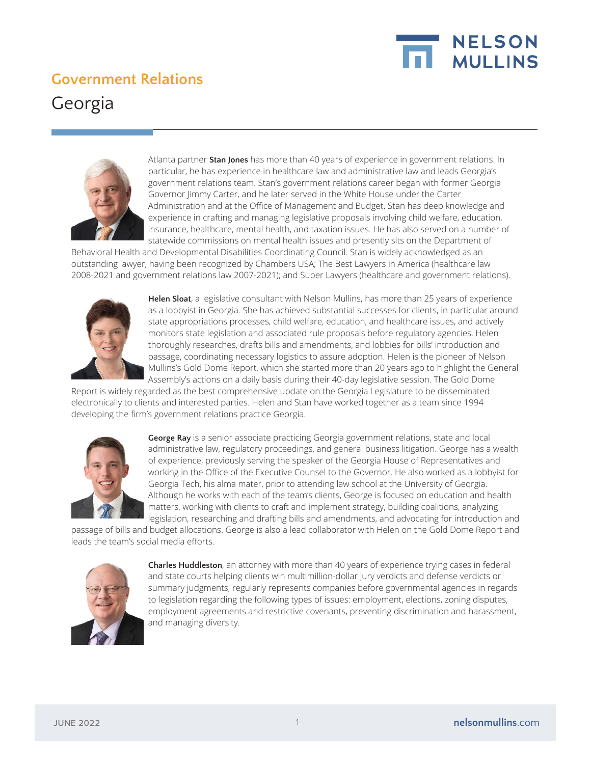

## **Government Relations**





Atlanta partner **Stan Jones** has more than 40 years of experience in government relations. In particular, he has experience in healthcare law and administrative law and leads Georgia's government relations team. Stan's government relations career began with former Georgia Governor Jimmy Carter, and he later served in the White House under the Carter Administration and at the Office of Management and Budget. Stan has deep knowledge and experience in crafting and managing legislative proposals involving child welfare, education, insurance, healthcare, mental health, and taxation issues. He has also served on a number of statewide commissions on mental health issues and presently sits on the Department of

Behavioral Health and Developmental Disabilities Coordinating Council. Stan is widely acknowledged as an outstanding lawyer, having been recognized by Chambers USA; The Best Lawyers in America (healthcare law 2008-2021 and government relations law 2007-2021); and Super Lawyers (healthcare and government relations).



**Helen Sloat**, a legislative consultant with Nelson Mullins, has more than 25 years of experience as a lobbyist in Georgia. She has achieved substantial successes for clients, in particular around state appropriations processes, child welfare, education, and healthcare issues, and actively monitors state legislation and associated rule proposals before regulatory agencies. Helen thoroughly researches, drafts bills and amendments, and lobbies for bills' introduction and passage, coordinating necessary logistics to assure adoption. Helen is the pioneer of Nelson Mullins's Gold Dome Report, which she started more than 20 years ago to highlight the General Assembly's actions on a daily basis during their 40-day legislative session. The Gold Dome

Report is widely regarded as the best comprehensive update on the Georgia Legislature to be disseminated electronically to clients and interested parties. Helen and Stan have worked together as a team since 1994 developing the firm's government relations practice Georgia.



**George Ray** is a senior associate practicing Georgia government relations, state and local administrative law, regulatory proceedings, and general business litigation. George has a wealth of experience, previously serving the speaker of the Georgia House of Representatives and working in the Office of the Executive Counsel to the Governor. He also worked as a lobbyist for Georgia Tech, his alma mater, prior to attending law school at the University of Georgia. Although he works with each of the team's clients, George is focused on education and health matters, working with clients to craft and implement strategy, building coalitions, analyzing legislation, researching and drafting bills and amendments, and advocating for introduction and

passage of bills and budget allocations. George is also a lead collaborator with Helen on the Gold Dome Report and leads the team's social media efforts.



**Charles Huddleston**, an attorney with more than 40 years of experience trying cases in federal and state courts helping clients win multimillion-dollar jury verdicts and defense verdicts or summary judgments, regularly represents companies before governmental agencies in regards to legislation regarding the following types of issues: employment, elections, zoning disputes, employment agreements and restrictive covenants, preventing discrimination and harassment, and managing diversity.